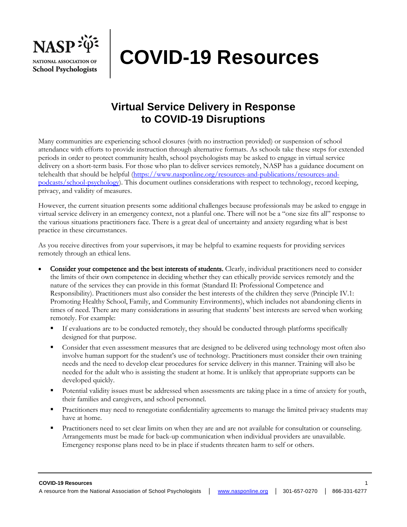

# **COVID-19 Resources**

## **Virtual Service Delivery in Response to COVID-19 Disruptions**

Many communities are experiencing school closures (with no instruction provided) or suspension of school attendance with efforts to provide instruction through alternative formats. As schools take these steps for extended periods in order to protect community health, school psychologists may be asked to engage in virtual service delivery on a short-term basis. For those who plan to deliver services remotely, NASP has a guidance document on telehealth that should be helpful [\(https://www.nasponline.org/resources-and-publications/resources-and](https://www.nasponline.org/resources-and-publications/resources-and-podcasts/school-psychology)[podcasts/school-psychology\)](https://www.nasponline.org/resources-and-publications/resources-and-podcasts/school-psychology). This document outlines considerations with respect to technology, record keeping, privacy, and validity of measures.

However, the current situation presents some additional challenges because professionals may be asked to engage in virtual service delivery in an emergency context, not a planful one. There will not be a "one size fits all" response to the various situations practitioners face. There is a great deal of uncertainty and anxiety regarding what is best practice in these circumstances.

As you receive directives from your supervisors, it may be helpful to examine requests for providing services remotely through an ethical lens.

- Consider your competence and the best interests of students. Clearly, individual practitioners need to consider the limits of their own competence in deciding whether they can ethically provide services remotely and the nature of the services they can provide in this format (Standard II: Professional Competence and Responsibility). Practitioners must also consider the best interests of the children they serve (Principle IV.1: Promoting Healthy School, Family, and Community Environments), which includes not abandoning clients in times of need. There are many considerations in assuring that students' best interests are served when working remotely. For example:
	- **•** If evaluations are to be conducted remotely, they should be conducted through platforms specifically designed for that purpose.
	- Consider that even assessment measures that are designed to be delivered using technology most often also involve human support for the student's use of technology. Practitioners must consider their own training needs and the need to develop clear procedures for service delivery in this manner. Training will also be needed for the adult who is assisting the student at home. It is unlikely that appropriate supports can be developed quickly.
	- Potential validity issues must be addressed when assessments are taking place in a time of anxiety for youth, their families and caregivers, and school personnel.
	- Practitioners may need to renegotiate confidentiality agreements to manage the limited privacy students may have at home.
	- Practitioners need to set clear limits on when they are and are not available for consultation or counseling. Arrangements must be made for back-up communication when individual providers are unavailable. Emergency response plans need to be in place if students threaten harm to self or others.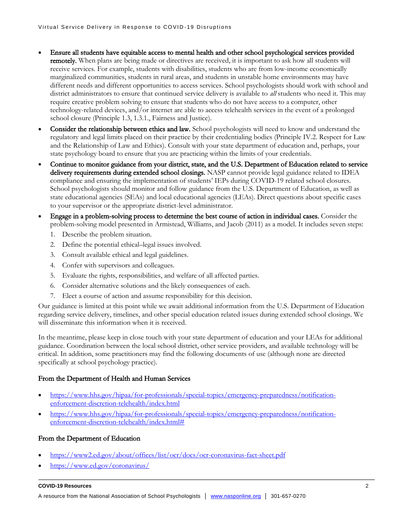- Ensure all students have equitable access to mental health and other school psychological services provided remotely. When plans are being made or directives are received, it is important to ask how all students will receive services. For example, students with disabilities, students who are from low-income economically marginalized communities, students in rural areas, and students in unstable home environments may have different needs and different opportunities to access services. School psychologists should work with school and district administrators to ensure that continued service delivery is available to *all* students who need it. This may require creative problem solving to ensure that students who do not have access to a computer, other technology-related devices, and/or internet are able to access telehealth services in the event of a prolonged school closure (Principle 1.3, 1.3.1., Fairness and Justice).
- Consider the relationship between ethics and law. School psychologists will need to know and understand the regulatory and legal limits placed on their practice by their credentialing bodies (Principle IV.2. Respect for Law and the Relationship of Law and Ethics). Consult with your state department of education and, perhaps, your state psychology board to ensure that you are practicing within the limits of your credentials.
- Continue to monitor guidance from your district, state, and the U.S. Department of Education related to service delivery requirements during extended school closings. NASP cannot provide legal guidance related to IDEA compliance and ensuring the implementation of students' IEPs during COVID-19 related school closures. School psychologists should monitor and follow guidance from the U.S. Department of Education, as well as state educational agencies (SEAs) and local educational agencies (LEAs). Direct questions about specific cases to your supervisor or the appropriate district-level administrator.
- Engage in a problem-solving process to determine the best course of action in individual cases. Consider the problem-solving model presented in Armistead, Williams, and Jacob (2011) as a model. It includes seven steps:
	- 1. Describe the problem situation.
	- 2. Define the potential ethical–legal issues involved.
	- 3. Consult available ethical and legal guidelines.
	- 4. Confer with supervisors and colleagues.
	- 5. Evaluate the rights, responsibilities, and welfare of all affected parties.
	- 6. Consider alternative solutions and the likely consequences of each.
	- 7. Elect a course of action and assume responsibility for this decision.

Our guidance is limited at this point while we await additional information from the U.S. Department of Education regarding service delivery, timelines, and other special education related issues during extended school closings. We will disseminate this information when it is received.

In the meantime, please keep in close touch with your state department of education and your LEAs for additional guidance. Coordination between the local school district, other service providers, and available technology will be critical. In addition, some practitioners may find the following documents of use (although none are directed specifically at school psychology practice).

#### From the Department of Health and Human Services

- [https://www.hhs.gov/hipaa/for-professionals/special-topics/emergency-preparedness/notification](https://www.hhs.gov/hipaa/for-professionals/special-topics/emergency-preparedness/notification-enforcement-discretion-telehealth/index.html)[enforcement-discretion-telehealth/index.html](https://www.hhs.gov/hipaa/for-professionals/special-topics/emergency-preparedness/notification-enforcement-discretion-telehealth/index.html)
- [https://www.hhs.gov/hipaa/for-professionals/special-topics/emergency-preparedness/notification](https://www.hhs.gov/hipaa/for-professionals/special-topics/emergency-preparedness/notification-enforcement-discretion-telehealth/index.html)[enforcement-discretion-telehealth/index.html#](https://www.hhs.gov/hipaa/for-professionals/special-topics/emergency-preparedness/notification-enforcement-discretion-telehealth/index.html)

#### From the Department of Education

- <https://www2.ed.gov/about/offices/list/ocr/docs/ocr-coronavirus-fact-sheet.pdf>
- <https://www.ed.gov/coronavirus/>

#### **COVID-19 Resources** 2